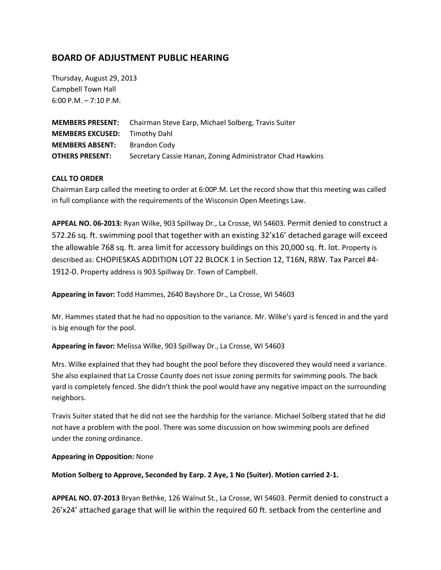# **BOARD OF ADJUSTMENT PUBLIC HEARING**

Thursday, August 29, 2013 Campbell Town Hall 6:00 P.M. – 7:10 P.M.

|                                      | <b>MEMBERS PRESENT:</b> Chairman Steve Earp, Michael Solberg, Travis Suiter |
|--------------------------------------|-----------------------------------------------------------------------------|
| <b>MEMBERS EXCUSED:</b> Timothy Dahl |                                                                             |
| <b>MEMBERS ABSENT:</b>               | Brandon Cody                                                                |
| <b>OTHERS PRESENT:</b>               | Secretary Cassie Hanan, Zoning Administrator Chad Hawkins                   |

## **CALL TO ORDER**

Chairman Earp called the meeting to order at 6:00P.M. Let the record show that this meeting was called in full compliance with the requirements of the Wisconsin Open Meetings Law.

**APPEAL NO. 06-2013:** Ryan Wilke, 903 Spillway Dr., La Crosse, WI 54603. Permit denied to construct a 572.26 sq. ft. swimming pool that together with an existing 32'x16' detached garage will exceed the allowable 768 sq. ft. area limit for accessory buildings on this 20,000 sq. ft. lot. Property is described as: CHOPIESKAS ADDITION LOT 22 BLOCK 1 in Section 12, T16N, R8W. Tax Parcel #4- 1912-0. Property address is 903 Spillway Dr. Town of Campbell.

**Appearing in favor:** Todd Hammes, 2640 Bayshore Dr., La Crosse, WI 54603

Mr. Hammes stated that he had no opposition to the variance. Mr. Wilke's yard is fenced in and the yard is big enough for the pool.

#### **Appearing in favor:** Melissa Wilke, 903 Spillway Dr., La Crosse, WI 54603

Mrs. Wilke explained that they had bought the pool before they discovered they would need a variance. She also explained that La Crosse County does not issue zoning permits for swimming pools. The back yard is completely fenced. She didn't think the pool would have any negative impact on the surrounding neighbors.

Travis Suiter stated that he did not see the hardship for the variance. Michael Solberg stated that he did not have a problem with the pool. There was some discussion on how swimming pools are defined under the zoning ordinance.

#### **Appearing in Opposition:** None

#### **Motion Solberg to Approve, Seconded by Earp. 2 Aye, 1 No (Suiter). Motion carried 2-1.**

**APPEAL NO. 07-2013** Bryan Bethke, 126 Walnut St., La Crosse, WI 54603. Permit denied to construct a 26'x24' attached garage that will lie within the required 60 ft. setback from the centerline and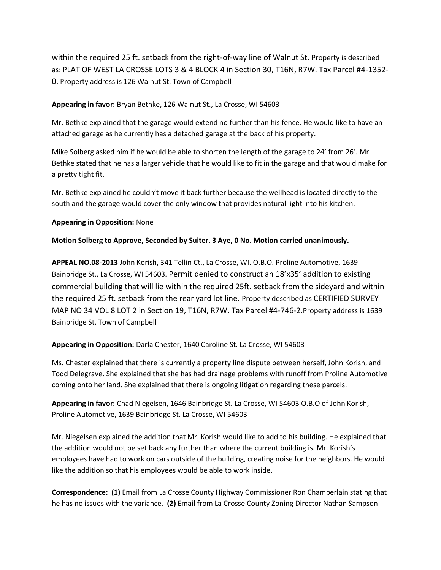within the required 25 ft. setback from the right-of-way line of Walnut St. Property is described as: PLAT OF WEST LA CROSSE LOTS 3 & 4 BLOCK 4 in Section 30, T16N, R7W. Tax Parcel #4-1352- 0. Property address is 126 Walnut St. Town of Campbell

## **Appearing in favor:** Bryan Bethke, 126 Walnut St., La Crosse, WI 54603

Mr. Bethke explained that the garage would extend no further than his fence. He would like to have an attached garage as he currently has a detached garage at the back of his property.

Mike Solberg asked him if he would be able to shorten the length of the garage to 24' from 26'. Mr. Bethke stated that he has a larger vehicle that he would like to fit in the garage and that would make for a pretty tight fit.

Mr. Bethke explained he couldn't move it back further because the wellhead is located directly to the south and the garage would cover the only window that provides natural light into his kitchen.

## **Appearing in Opposition:** None

## **Motion Solberg to Approve, Seconded by Suiter. 3 Aye, 0 No. Motion carried unanimously.**

**APPEAL NO.08-2013** John Korish, 341 Tellin Ct., La Crosse, WI. O.B.O. Proline Automotive, 1639 Bainbridge St., La Crosse, WI 54603. Permit denied to construct an 18'x35' addition to existing commercial building that will lie within the required 25ft. setback from the sideyard and within the required 25 ft. setback from the rear yard lot line. Property described as CERTIFIED SURVEY MAP NO 34 VOL 8 LOT 2 in Section 19, T16N, R7W. Tax Parcel #4-746-2.Property address is 1639 Bainbridge St. Town of Campbell

## **Appearing in Opposition:** Darla Chester, 1640 Caroline St. La Crosse, WI 54603

Ms. Chester explained that there is currently a property line dispute between herself, John Korish, and Todd Delegrave. She explained that she has had drainage problems with runoff from Proline Automotive coming onto her land. She explained that there is ongoing litigation regarding these parcels.

**Appearing in favor:** Chad Niegelsen, 1646 Bainbridge St. La Crosse, WI 54603 O.B.O of John Korish, Proline Automotive, 1639 Bainbridge St. La Crosse, WI 54603

Mr. Niegelsen explained the addition that Mr. Korish would like to add to his building. He explained that the addition would not be set back any further than where the current building is. Mr. Korish's employees have had to work on cars outside of the building, creating noise for the neighbors. He would like the addition so that his employees would be able to work inside.

**Correspondence: (1)** Email from La Crosse County Highway Commissioner Ron Chamberlain stating that he has no issues with the variance. **(2)** Email from La Crosse County Zoning Director Nathan Sampson